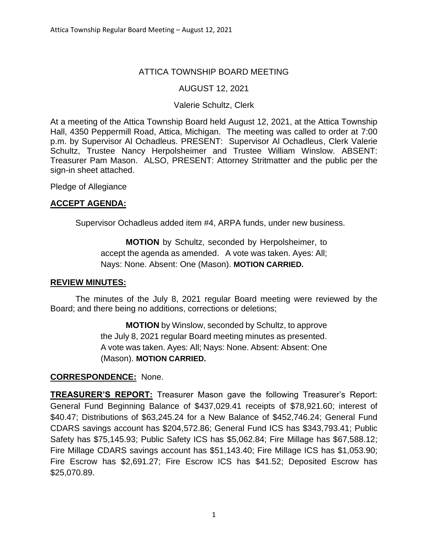# ATTICA TOWNSHIP BOARD MEETING

## AUGUST 12, 2021

## Valerie Schultz, Clerk

At a meeting of the Attica Township Board held August 12, 2021, at the Attica Township Hall, 4350 Peppermill Road, Attica, Michigan. The meeting was called to order at 7:00 p.m. by Supervisor Al Ochadleus. PRESENT: Supervisor Al Ochadleus, Clerk Valerie Schultz, Trustee Nancy Herpolsheimer and Trustee William Winslow. ABSENT: Treasurer Pam Mason. ALSO, PRESENT: Attorney Stritmatter and the public per the sign-in sheet attached.

Pledge of Allegiance

## **ACCEPT AGENDA:**

Supervisor Ochadleus added item #4, ARPA funds, under new business.

**MOTION** by Schultz, seconded by Herpolsheimer, to accept the agenda as amended. A vote was taken. Ayes: All; Nays: None. Absent: One (Mason). **MOTION CARRIED.**

#### **REVIEW MINUTES:**

The minutes of the July 8, 2021 regular Board meeting were reviewed by the Board; and there being no additions, corrections or deletions;

> **MOTION** by Winslow, seconded by Schultz, to approve the July 8, 2021 regular Board meeting minutes as presented. A vote was taken. Ayes: All; Nays: None. Absent: Absent: One (Mason). **MOTION CARRIED.**

#### **CORRESPONDENCE:** None.

**TREASURER'S REPORT:** Treasurer Mason gave the following Treasurer's Report: General Fund Beginning Balance of \$437,029.41 receipts of \$78,921.60; interest of \$40.47; Distributions of \$63,245.24 for a New Balance of \$452,746.24; General Fund CDARS savings account has \$204,572.86; General Fund ICS has \$343,793.41; Public Safety has \$75,145.93; Public Safety ICS has \$5,062.84; Fire Millage has \$67,588.12; Fire Millage CDARS savings account has \$51,143.40; Fire Millage ICS has \$1,053.90; Fire Escrow has \$2,691.27; Fire Escrow ICS has \$41.52; Deposited Escrow has \$25,070.89.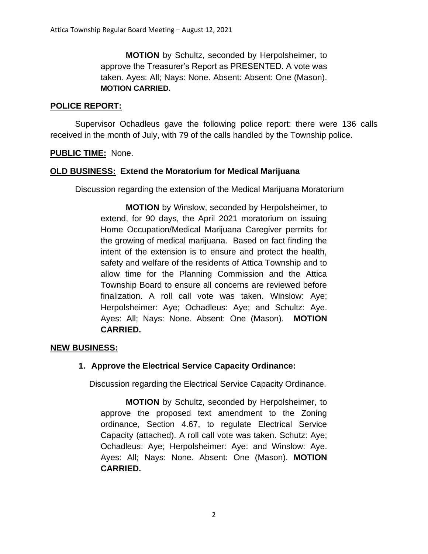**MOTION** by Schultz, seconded by Herpolsheimer, to approve the Treasurer's Report as PRESENTED. A vote was taken. Ayes: All; Nays: None. Absent: Absent: One (Mason). **MOTION CARRIED.**

#### **POLICE REPORT:**

Supervisor Ochadleus gave the following police report: there were 136 calls received in the month of July, with 79 of the calls handled by the Township police.

#### **PUBLIC TIME:** None.

#### **OLD BUSINESS: Extend the Moratorium for Medical Marijuana**

Discussion regarding the extension of the Medical Marijuana Moratorium

**MOTION** by Winslow, seconded by Herpolsheimer, to extend, for 90 days, the April 2021 moratorium on issuing Home Occupation/Medical Marijuana Caregiver permits for the growing of medical marijuana. Based on fact finding the intent of the extension is to ensure and protect the health, safety and welfare of the residents of Attica Township and to allow time for the Planning Commission and the Attica Township Board to ensure all concerns are reviewed before finalization. A roll call vote was taken. Winslow: Aye; Herpolsheimer: Aye; Ochadleus: Aye; and Schultz: Aye. Ayes: All; Nays: None. Absent: One (Mason). **MOTION CARRIED.**

#### **NEW BUSINESS:**

#### **1. Approve the Electrical Service Capacity Ordinance:**

Discussion regarding the Electrical Service Capacity Ordinance.

**MOTION** by Schultz, seconded by Herpolsheimer, to approve the proposed text amendment to the Zoning ordinance, Section 4.67, to regulate Electrical Service Capacity (attached). A roll call vote was taken. Schutz: Aye; Ochadleus: Aye; Herpolsheimer: Aye: and Winslow: Aye. Ayes: All; Nays: None. Absent: One (Mason). **MOTION CARRIED.**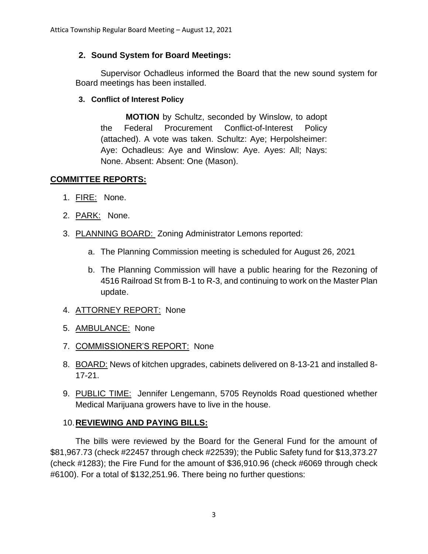## **2. Sound System for Board Meetings:**

Supervisor Ochadleus informed the Board that the new sound system for Board meetings has been installed.

## **3. Conflict of Interest Policy**

**MOTION** by Schultz, seconded by Winslow, to adopt the Federal Procurement Conflict-of-Interest Policy (attached). A vote was taken. Schultz: Aye; Herpolsheimer: Aye: Ochadleus: Aye and Winslow: Aye. Ayes: All; Nays: None. Absent: Absent: One (Mason).

## **COMMITTEE REPORTS:**

- 1. FIRE: None.
- 2. PARK: None.
- 3. PLANNING BOARD: Zoning Administrator Lemons reported:
	- a. The Planning Commission meeting is scheduled for August 26, 2021
	- b. The Planning Commission will have a public hearing for the Rezoning of 4516 Railroad St from B-1 to R-3, and continuing to work on the Master Plan update.
- 4. ATTORNEY REPORT: None
- 5. AMBULANCE: None
- 7. COMMISSIONER'S REPORT: None
- 8. BOARD: News of kitchen upgrades, cabinets delivered on 8-13-21 and installed 8- 17-21.
- 9. PUBLIC TIME: Jennifer Lengemann, 5705 Reynolds Road questioned whether Medical Marijuana growers have to live in the house.

# 10.**REVIEWING AND PAYING BILLS:**

The bills were reviewed by the Board for the General Fund for the amount of \$81,967.73 (check #22457 through check #22539); the Public Safety fund for \$13,373.27 (check #1283); the Fire Fund for the amount of \$36,910.96 (check #6069 through check #6100). For a total of \$132,251.96. There being no further questions: